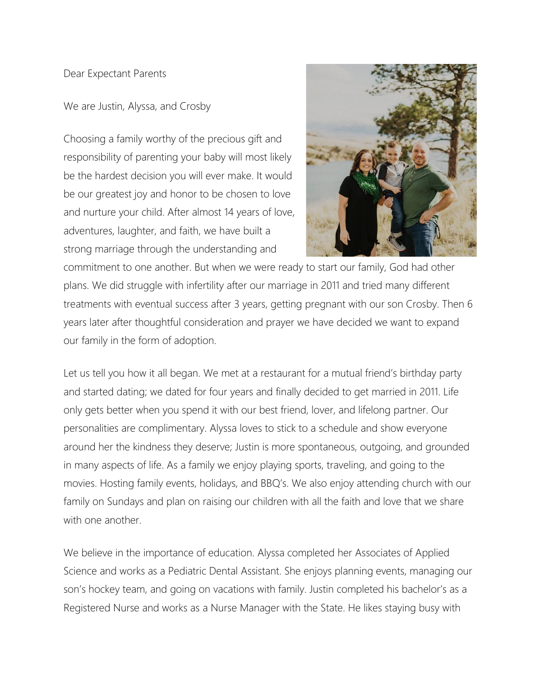## Dear Expectant Parents

We are Justin, Alyssa, and Crosby

Choosing a family worthy of the precious gift and responsibility of parenting your baby will most likely be the hardest decision you will ever make. It would be our greatest joy and honor to be chosen to love and nurture your child. After almost 14 years of love, adventures, laughter, and faith, we have built a strong marriage through the understanding and



commitment to one another. But when we were ready to start our family, God had other plans. We did struggle with infertility after our marriage in 2011 and tried many different treatments with eventual success after 3 years, getting pregnant with our son Crosby. Then 6 years later after thoughtful consideration and prayer we have decided we want to expand our family in the form of adoption.

Let us tell you how it all began. We met at a restaurant for a mutual friend's birthday party and started dating; we dated for four years and finally decided to get married in 2011. Life only gets better when you spend it with our best friend, lover, and lifelong partner. Our personalities are complimentary. Alyssa loves to stick to a schedule and show everyone around her the kindness they deserve; Justin is more spontaneous, outgoing, and grounded in many aspects of life. As a family we enjoy playing sports, traveling, and going to the movies. Hosting family events, holidays, and BBQ's. We also enjoy attending church with our family on Sundays and plan on raising our children with all the faith and love that we share with one another.

We believe in the importance of education. Alyssa completed her Associates of Applied Science and works as a Pediatric Dental Assistant. She enjoys planning events, managing our son's hockey team, and going on vacations with family. Justin completed his bachelor's as a Registered Nurse and works as a Nurse Manager with the State. He likes staying busy with